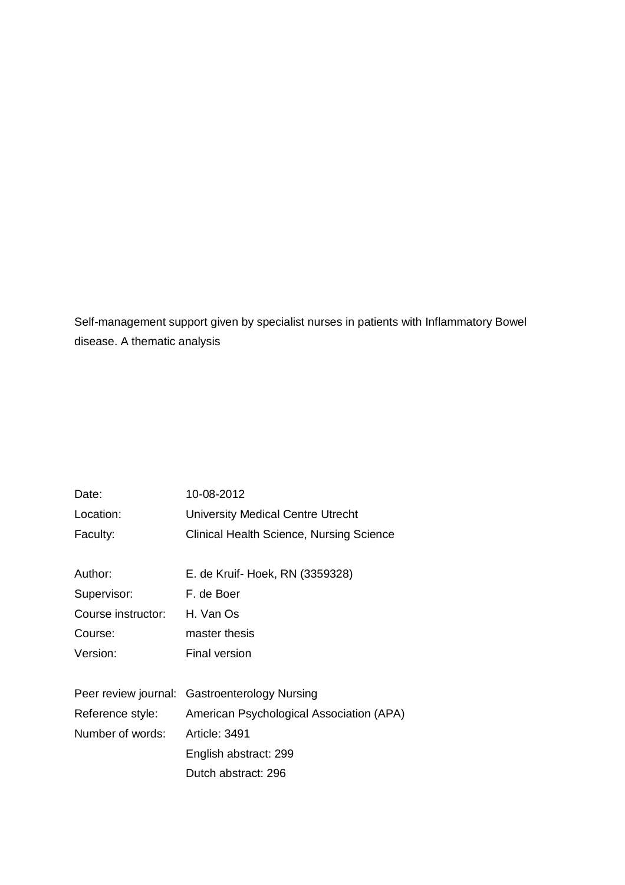Self-management support given by specialist nurses in patients with Inflammatory Bowel disease. A thematic analysis

| 10-08-2012                                      |  |  |  |  |
|-------------------------------------------------|--|--|--|--|
| <b>University Medical Centre Utrecht</b>        |  |  |  |  |
| <b>Clinical Health Science, Nursing Science</b> |  |  |  |  |
| E. de Kruif- Hoek, RN (3359328)                 |  |  |  |  |
|                                                 |  |  |  |  |
| F. de Boer                                      |  |  |  |  |
| H. Van Os                                       |  |  |  |  |
| master thesis                                   |  |  |  |  |
| Final version                                   |  |  |  |  |
| Peer review journal: Gastroenterology Nursing   |  |  |  |  |
| American Psychological Association (APA)        |  |  |  |  |
| <b>Article: 3491</b>                            |  |  |  |  |
| English abstract: 299                           |  |  |  |  |
| Dutch abstract: 296                             |  |  |  |  |
|                                                 |  |  |  |  |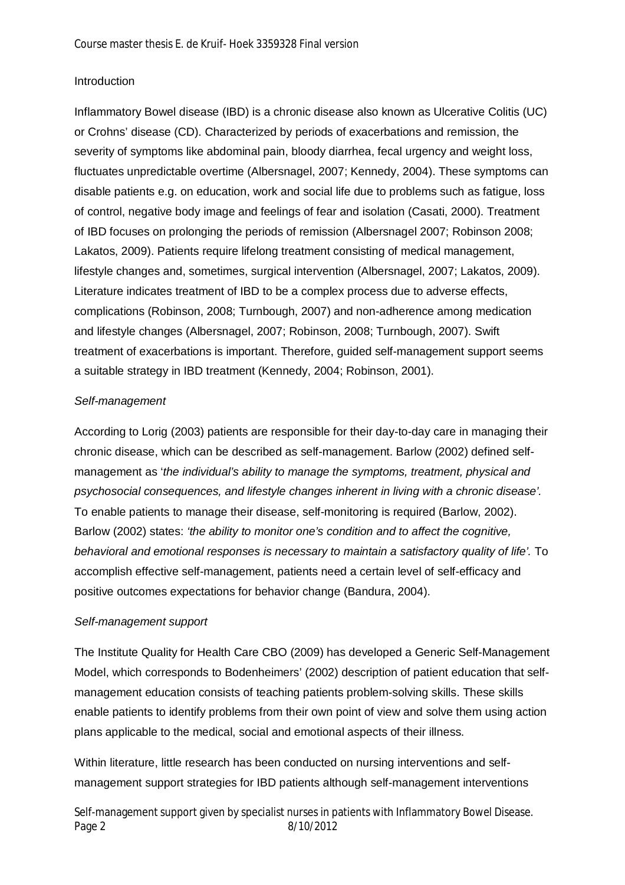### Introduction

Inflammatory Bowel disease (IBD) is a chronic disease also known as Ulcerative Colitis (UC) or Crohns' disease (CD). Characterized by periods of exacerbations and remission, the severity of symptoms like abdominal pain, bloody diarrhea, fecal urgency and weight loss, fluctuates unpredictable overtime (Albersnagel, 2007; Kennedy, 2004). These symptoms can disable patients e.g. on education, work and social life due to problems such as fatigue, loss of control, negative body image and feelings of fear and isolation (Casati, 2000). Treatment of IBD focuses on prolonging the periods of remission (Albersnagel 2007; Robinson 2008; Lakatos, 2009). Patients require lifelong treatment consisting of medical management, lifestyle changes and, sometimes, surgical intervention (Albersnagel, 2007; Lakatos, 2009). Literature indicates treatment of IBD to be a complex process due to adverse effects, complications (Robinson, 2008; Turnbough, 2007) and non-adherence among medication and lifestyle changes (Albersnagel, 2007; Robinson, 2008; Turnbough, 2007). Swift treatment of exacerbations is important. Therefore, guided self-management support seems a suitable strategy in IBD treatment (Kennedy, 2004; Robinson, 2001).

### *Self-management*

According to Lorig (2003) patients are responsible for their day-to-day care in managing their chronic disease, which can be described as self-management. Barlow (2002) defined selfmanagement as '*the individual's ability to manage the symptoms, treatment, physical and psychosocial consequences, and lifestyle changes inherent in living with a chronic disease'.* To enable patients to manage their disease, self-monitoring is required (Barlow, 2002). Barlow (2002) states: *'the ability to monitor one's condition and to affect the cognitive, behavioral and emotional responses is necessary to maintain a satisfactory quality of life'.* To accomplish effective self-management, patients need a certain level of self-efficacy and positive outcomes expectations for behavior change (Bandura, 2004).

## *Self-management support*

The Institute Quality for Health Care CBO (2009) has developed a Generic Self-Management Model, which corresponds to Bodenheimers' (2002) description of patient education that selfmanagement education consists of teaching patients problem-solving skills. These skills enable patients to identify problems from their own point of view and solve them using action plans applicable to the medical, social and emotional aspects of their illness.

Within literature, little research has been conducted on nursing interventions and selfmanagement support strategies for IBD patients although self-management interventions

Self-management support given by specialist nurses in patients with Inflammatory Bowel Disease. Page 2 8/10/2012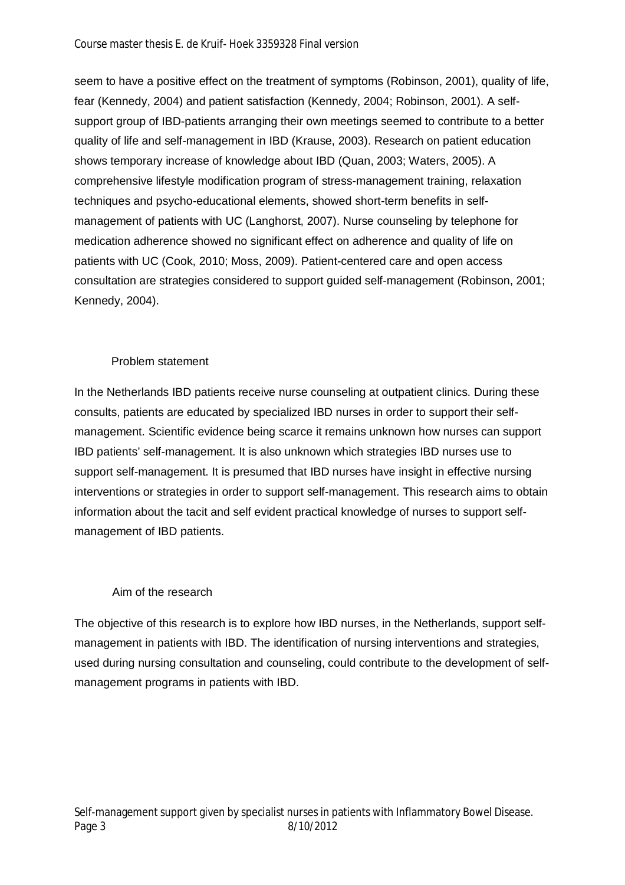seem to have a positive effect on the treatment of symptoms (Robinson, 2001), quality of life, fear (Kennedy, 2004) and patient satisfaction (Kennedy, 2004; Robinson, 2001). A selfsupport group of IBD-patients arranging their own meetings seemed to contribute to a better quality of life and self-management in IBD (Krause, 2003). Research on patient education shows temporary increase of knowledge about IBD (Quan, 2003; Waters, 2005). A comprehensive lifestyle modification program of stress-management training, relaxation techniques and psycho-educational elements, showed short-term benefits in selfmanagement of patients with UC (Langhorst, 2007). Nurse counseling by telephone for medication adherence showed no significant effect on adherence and quality of life on patients with UC (Cook, 2010; Moss, 2009). Patient-centered care and open access consultation are strategies considered to support guided self-management (Robinson, 2001; Kennedy, 2004).

## Problem statement

In the Netherlands IBD patients receive nurse counseling at outpatient clinics. During these consults, patients are educated by specialized IBD nurses in order to support their selfmanagement. Scientific evidence being scarce it remains unknown how nurses can support IBD patients' self-management. It is also unknown which strategies IBD nurses use to support self-management. It is presumed that IBD nurses have insight in effective nursing interventions or strategies in order to support self-management. This research aims to obtain information about the tacit and self evident practical knowledge of nurses to support selfmanagement of IBD patients.

## Aim of the research

The objective of this research is to explore how IBD nurses, in the Netherlands, support selfmanagement in patients with IBD. The identification of nursing interventions and strategies, used during nursing consultation and counseling, could contribute to the development of selfmanagement programs in patients with IBD.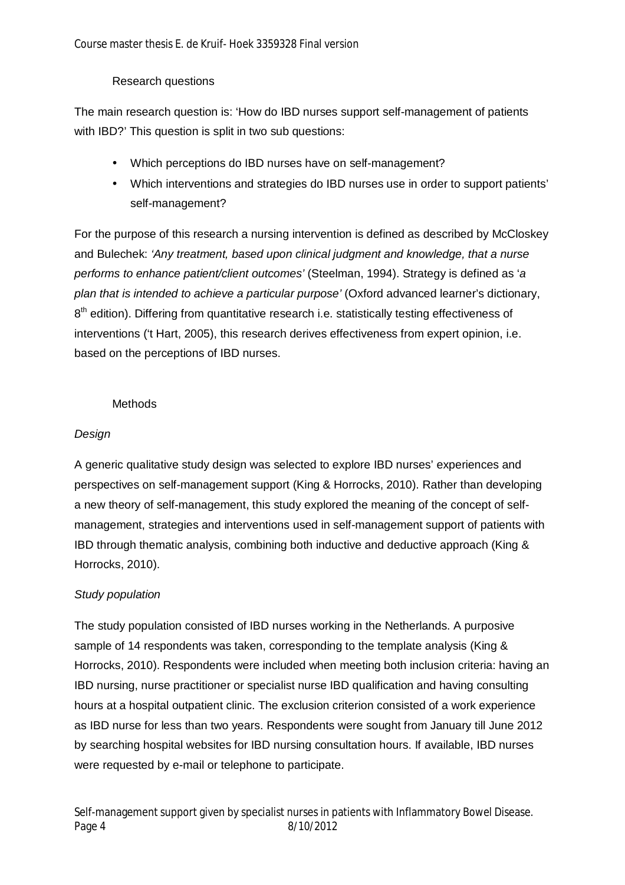## Research questions

The main research question is: 'How do IBD nurses support self-management of patients with IBD?' This question is split in two sub questions:

- Which perceptions do IBD nurses have on self-management?
- Which interventions and strategies do IBD nurses use in order to support patients' self-management?

For the purpose of this research a nursing intervention is defined as described by McCloskey and Bulechek: *'Any treatment, based upon clinical judgment and knowledge, that a nurse performs to enhance patient/client outcomes'* (Steelman, 1994). Strategy is defined as '*a plan that is intended to achieve a particular purpose'* (Oxford advanced learner's dictionary, 8<sup>th</sup> edition). Differing from quantitative research i.e. statistically testing effectiveness of interventions ('t Hart, 2005), this research derives effectiveness from expert opinion, i.e. based on the perceptions of IBD nurses.

## **Methods**

## *Design*

A generic qualitative study design was selected to explore IBD nurses' experiences and perspectives on self-management support (King & Horrocks, 2010). Rather than developing a new theory of self-management, this study explored the meaning of the concept of selfmanagement, strategies and interventions used in self-management support of patients with IBD through thematic analysis, combining both inductive and deductive approach (King & Horrocks, 2010).

# *Study population*

The study population consisted of IBD nurses working in the Netherlands. A purposive sample of 14 respondents was taken, corresponding to the template analysis (King & Horrocks, 2010). Respondents were included when meeting both inclusion criteria: having an IBD nursing, nurse practitioner or specialist nurse IBD qualification and having consulting hours at a hospital outpatient clinic. The exclusion criterion consisted of a work experience as IBD nurse for less than two years. Respondents were sought from January till June 2012 by searching hospital websites for IBD nursing consultation hours. If available, IBD nurses were requested by e-mail or telephone to participate.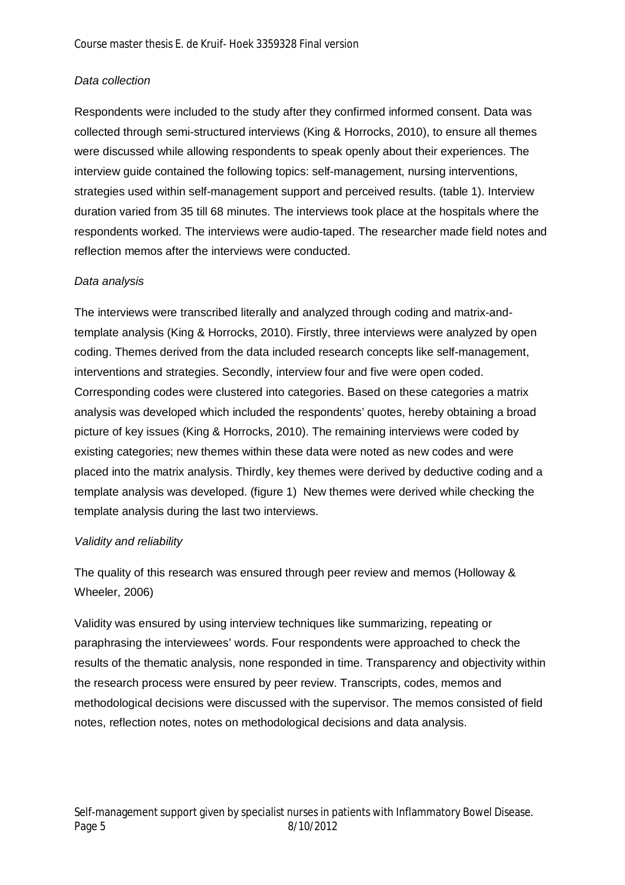## *Data collection*

Respondents were included to the study after they confirmed informed consent. Data was collected through semi-structured interviews (King & Horrocks, 2010), to ensure all themes were discussed while allowing respondents to speak openly about their experiences. The interview guide contained the following topics: self-management, nursing interventions, strategies used within self-management support and perceived results. (table 1). Interview duration varied from 35 till 68 minutes. The interviews took place at the hospitals where the respondents worked. The interviews were audio-taped. The researcher made field notes and reflection memos after the interviews were conducted.

## *Data analysis*

The interviews were transcribed literally and analyzed through coding and matrix-andtemplate analysis (King & Horrocks, 2010). Firstly, three interviews were analyzed by open coding. Themes derived from the data included research concepts like self-management, interventions and strategies. Secondly, interview four and five were open coded. Corresponding codes were clustered into categories. Based on these categories a matrix analysis was developed which included the respondents' quotes, hereby obtaining a broad picture of key issues (King & Horrocks, 2010). The remaining interviews were coded by existing categories; new themes within these data were noted as new codes and were placed into the matrix analysis. Thirdly, key themes were derived by deductive coding and a template analysis was developed. (figure 1) New themes were derived while checking the template analysis during the last two interviews.

#### *Validity and reliability*

The quality of this research was ensured through peer review and memos (Holloway & Wheeler, 2006)

Validity was ensured by using interview techniques like summarizing, repeating or paraphrasing the interviewees' words. Four respondents were approached to check the results of the thematic analysis, none responded in time. Transparency and objectivity within the research process were ensured by peer review. Transcripts, codes, memos and methodological decisions were discussed with the supervisor. The memos consisted of field notes, reflection notes, notes on methodological decisions and data analysis.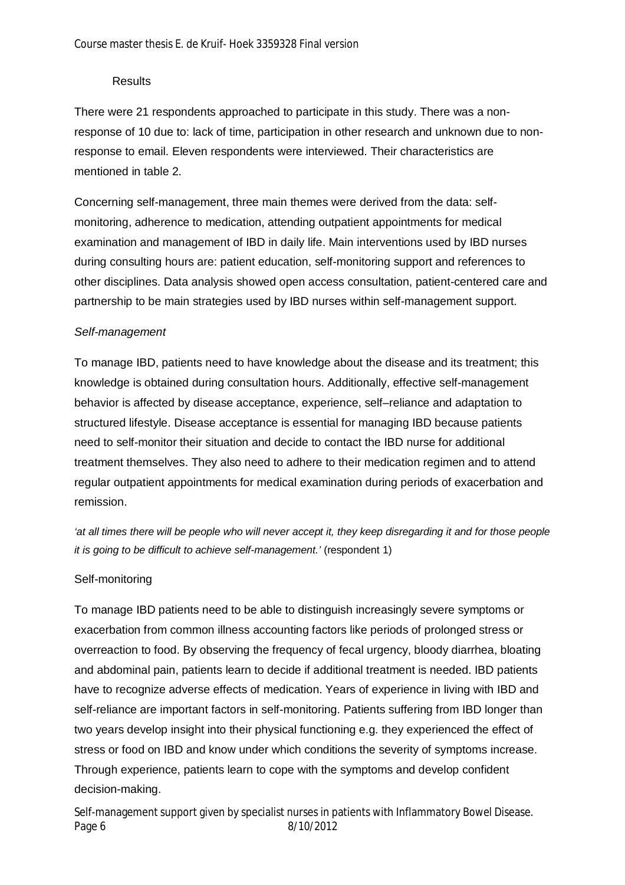### **Results**

There were 21 respondents approached to participate in this study. There was a nonresponse of 10 due to: lack of time, participation in other research and unknown due to nonresponse to email. Eleven respondents were interviewed. Their characteristics are mentioned in table 2.

Concerning self-management, three main themes were derived from the data: selfmonitoring, adherence to medication, attending outpatient appointments for medical examination and management of IBD in daily life. Main interventions used by IBD nurses during consulting hours are: patient education, self-monitoring support and references to other disciplines. Data analysis showed open access consultation, patient-centered care and partnership to be main strategies used by IBD nurses within self-management support.

### *Self-management*

To manage IBD, patients need to have knowledge about the disease and its treatment; this knowledge is obtained during consultation hours. Additionally, effective self-management behavior is affected by disease acceptance, experience, self–reliance and adaptation to structured lifestyle. Disease acceptance is essential for managing IBD because patients need to self-monitor their situation and decide to contact the IBD nurse for additional treatment themselves. They also need to adhere to their medication regimen and to attend regular outpatient appointments for medical examination during periods of exacerbation and remission.

*'at all times there will be people who will never accept it, they keep disregarding it and for those people it is going to be difficult to achieve self-management.'* (respondent 1)

#### Self-monitoring

To manage IBD patients need to be able to distinguish increasingly severe symptoms or exacerbation from common illness accounting factors like periods of prolonged stress or overreaction to food. By observing the frequency of fecal urgency, bloody diarrhea, bloating and abdominal pain, patients learn to decide if additional treatment is needed. IBD patients have to recognize adverse effects of medication. Years of experience in living with IBD and self-reliance are important factors in self-monitoring. Patients suffering from IBD longer than two years develop insight into their physical functioning e.g. they experienced the effect of stress or food on IBD and know under which conditions the severity of symptoms increase. Through experience, patients learn to cope with the symptoms and develop confident decision-making.

Self-management support given by specialist nurses in patients with Inflammatory Bowel Disease. Page 6 8/10/2012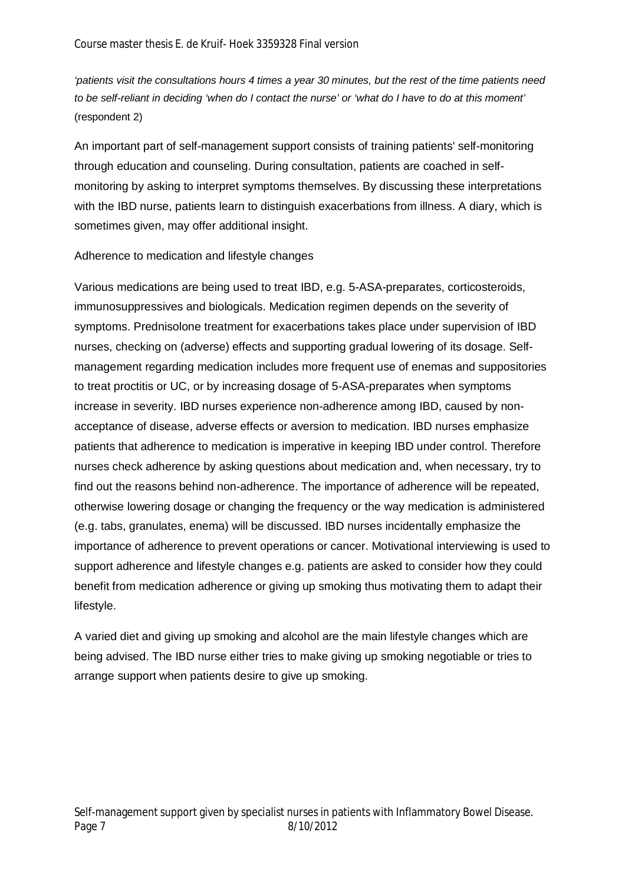*'patients visit the consultations hours 4 times a year 30 minutes, but the rest of the time patients need to be self-reliant in deciding 'when do I contact the nurse' or 'what do I have to do at this moment'*  (respondent 2)

An important part of self-management support consists of training patients' self-monitoring through education and counseling. During consultation, patients are coached in selfmonitoring by asking to interpret symptoms themselves. By discussing these interpretations with the IBD nurse, patients learn to distinguish exacerbations from illness. A diary, which is sometimes given, may offer additional insight.

### Adherence to medication and lifestyle changes

Various medications are being used to treat IBD, e.g. 5-ASA-preparates, corticosteroids, immunosuppressives and biologicals. Medication regimen depends on the severity of symptoms. Prednisolone treatment for exacerbations takes place under supervision of IBD nurses, checking on (adverse) effects and supporting gradual lowering of its dosage. Selfmanagement regarding medication includes more frequent use of enemas and suppositories to treat proctitis or UC, or by increasing dosage of 5-ASA-preparates when symptoms increase in severity. IBD nurses experience non-adherence among IBD, caused by nonacceptance of disease, adverse effects or aversion to medication. IBD nurses emphasize patients that adherence to medication is imperative in keeping IBD under control. Therefore nurses check adherence by asking questions about medication and, when necessary, try to find out the reasons behind non-adherence. The importance of adherence will be repeated, otherwise lowering dosage or changing the frequency or the way medication is administered (e.g. tabs, granulates, enema) will be discussed. IBD nurses incidentally emphasize the importance of adherence to prevent operations or cancer. Motivational interviewing is used to support adherence and lifestyle changes e.g. patients are asked to consider how they could benefit from medication adherence or giving up smoking thus motivating them to adapt their lifestyle.

A varied diet and giving up smoking and alcohol are the main lifestyle changes which are being advised. The IBD nurse either tries to make giving up smoking negotiable or tries to arrange support when patients desire to give up smoking.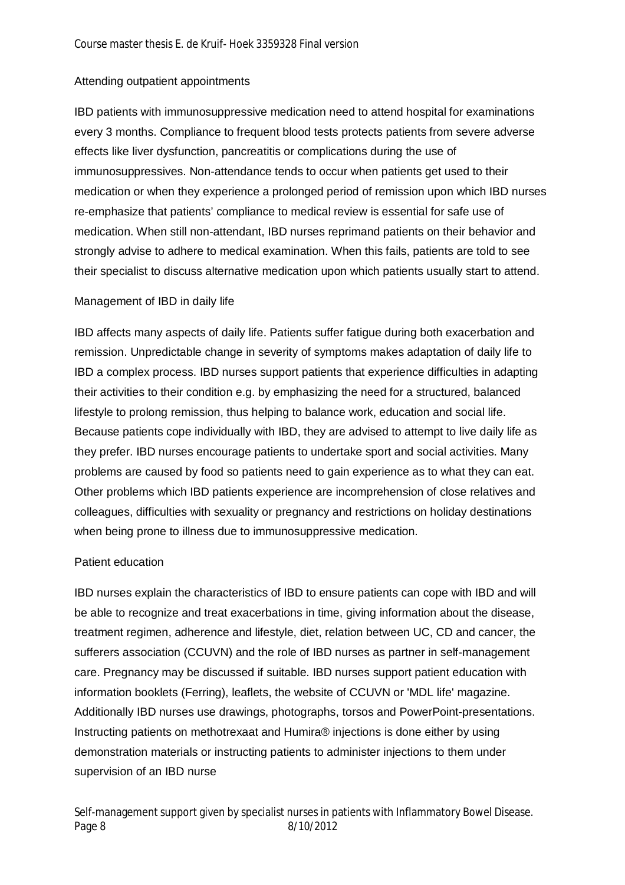### Attending outpatient appointments

IBD patients with immunosuppressive medication need to attend hospital for examinations every 3 months. Compliance to frequent blood tests protects patients from severe adverse effects like liver dysfunction, pancreatitis or complications during the use of immunosuppressives. Non-attendance tends to occur when patients get used to their medication or when they experience a prolonged period of remission upon which IBD nurses re-emphasize that patients' compliance to medical review is essential for safe use of medication. When still non-attendant, IBD nurses reprimand patients on their behavior and strongly advise to adhere to medical examination. When this fails, patients are told to see their specialist to discuss alternative medication upon which patients usually start to attend.

### Management of IBD in daily life

IBD affects many aspects of daily life. Patients suffer fatigue during both exacerbation and remission. Unpredictable change in severity of symptoms makes adaptation of daily life to IBD a complex process. IBD nurses support patients that experience difficulties in adapting their activities to their condition e.g. by emphasizing the need for a structured, balanced lifestyle to prolong remission, thus helping to balance work, education and social life. Because patients cope individually with IBD, they are advised to attempt to live daily life as they prefer. IBD nurses encourage patients to undertake sport and social activities. Many problems are caused by food so patients need to gain experience as to what they can eat. Other problems which IBD patients experience are incomprehension of close relatives and colleagues, difficulties with sexuality or pregnancy and restrictions on holiday destinations when being prone to illness due to immunosuppressive medication.

#### Patient education

IBD nurses explain the characteristics of IBD to ensure patients can cope with IBD and will be able to recognize and treat exacerbations in time, giving information about the disease, treatment regimen, adherence and lifestyle, diet, relation between UC, CD and cancer, the sufferers association (CCUVN) and the role of IBD nurses as partner in self-management care. Pregnancy may be discussed if suitable. IBD nurses support patient education with information booklets (Ferring), leaflets, the website of CCUVN or 'MDL life' magazine. Additionally IBD nurses use drawings, photographs, torsos and PowerPoint-presentations. Instructing patients on methotrexaat and Humira® injections is done either by using demonstration materials or instructing patients to administer injections to them under supervision of an IBD nurse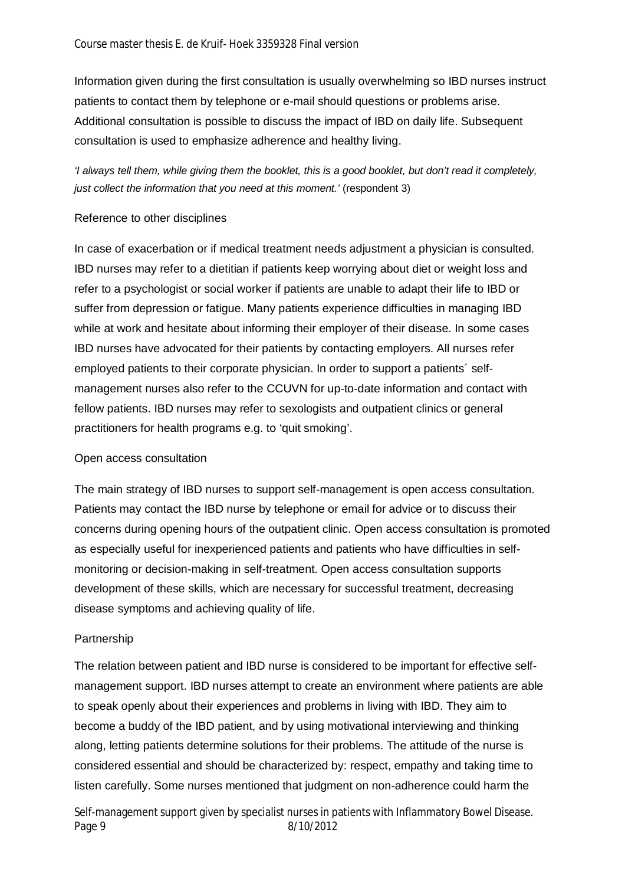Information given during the first consultation is usually overwhelming so IBD nurses instruct patients to contact them by telephone or e-mail should questions or problems arise. Additional consultation is possible to discuss the impact of IBD on daily life. Subsequent consultation is used to emphasize adherence and healthy living.

*'I always tell them, while giving them the booklet, this is a good booklet, but don't read it completely, just collect the information that you need at this moment.'* (respondent 3)

### Reference to other disciplines

In case of exacerbation or if medical treatment needs adjustment a physician is consulted. IBD nurses may refer to a dietitian if patients keep worrying about diet or weight loss and refer to a psychologist or social worker if patients are unable to adapt their life to IBD or suffer from depression or fatigue. Many patients experience difficulties in managing IBD while at work and hesitate about informing their employer of their disease. In some cases IBD nurses have advocated for their patients by contacting employers. All nurses refer employed patients to their corporate physician. In order to support a patients´ selfmanagement nurses also refer to the CCUVN for up-to-date information and contact with fellow patients. IBD nurses may refer to sexologists and outpatient clinics or general practitioners for health programs e.g. to 'quit smoking'.

#### Open access consultation

The main strategy of IBD nurses to support self-management is open access consultation. Patients may contact the IBD nurse by telephone or email for advice or to discuss their concerns during opening hours of the outpatient clinic. Open access consultation is promoted as especially useful for inexperienced patients and patients who have difficulties in selfmonitoring or decision-making in self-treatment. Open access consultation supports development of these skills, which are necessary for successful treatment, decreasing disease symptoms and achieving quality of life.

#### **Partnership**

The relation between patient and IBD nurse is considered to be important for effective selfmanagement support. IBD nurses attempt to create an environment where patients are able to speak openly about their experiences and problems in living with IBD. They aim to become a buddy of the IBD patient, and by using motivational interviewing and thinking along, letting patients determine solutions for their problems. The attitude of the nurse is considered essential and should be characterized by: respect, empathy and taking time to listen carefully. Some nurses mentioned that judgment on non-adherence could harm the

Self-management support given by specialist nurses in patients with Inflammatory Bowel Disease. Page 9 8/10/2012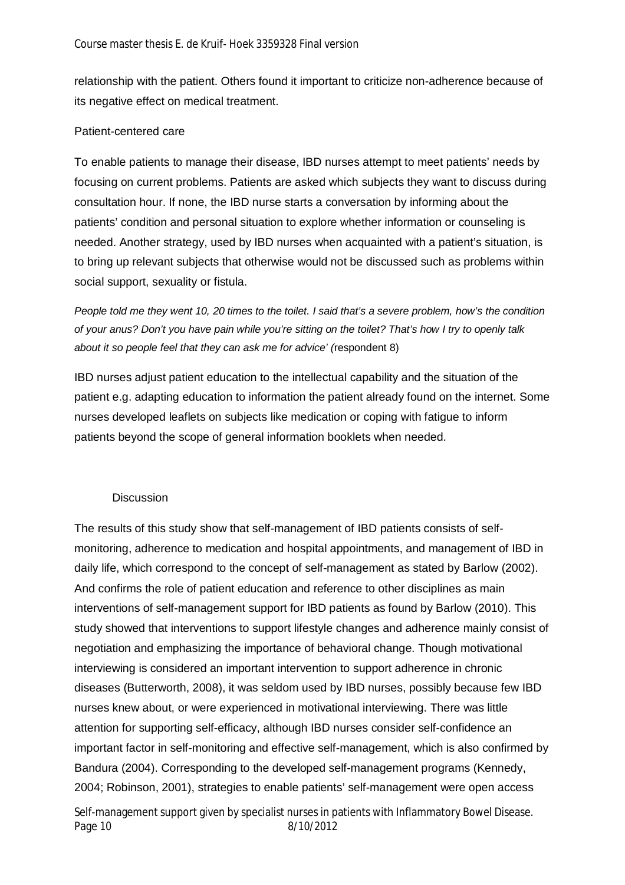relationship with the patient. Others found it important to criticize non-adherence because of its negative effect on medical treatment.

### Patient-centered care

To enable patients to manage their disease, IBD nurses attempt to meet patients' needs by focusing on current problems. Patients are asked which subjects they want to discuss during consultation hour. If none, the IBD nurse starts a conversation by informing about the patients' condition and personal situation to explore whether information or counseling is needed. Another strategy, used by IBD nurses when acquainted with a patient's situation, is to bring up relevant subjects that otherwise would not be discussed such as problems within social support, sexuality or fistula.

*People told me they went 10, 20 times to the toilet. I said that's a severe problem, how's the condition of your anus? Don't you have pain while you're sitting on the toilet? That's how I try to openly talk about it so people feel that they can ask me for advice' (*respondent 8)

IBD nurses adjust patient education to the intellectual capability and the situation of the patient e.g. adapting education to information the patient already found on the internet. Some nurses developed leaflets on subjects like medication or coping with fatigue to inform patients beyond the scope of general information booklets when needed.

#### **Discussion**

Self-management support given by specialist nurses in patients with Inflammatory Bowel Disease. The results of this study show that self-management of IBD patients consists of selfmonitoring, adherence to medication and hospital appointments, and management of IBD in daily life, which correspond to the concept of self-management as stated by Barlow (2002). And confirms the role of patient education and reference to other disciplines as main interventions of self-management support for IBD patients as found by Barlow (2010). This study showed that interventions to support lifestyle changes and adherence mainly consist of negotiation and emphasizing the importance of behavioral change. Though motivational interviewing is considered an important intervention to support adherence in chronic diseases (Butterworth, 2008), it was seldom used by IBD nurses, possibly because few IBD nurses knew about, or were experienced in motivational interviewing. There was little attention for supporting self-efficacy, although IBD nurses consider self-confidence an important factor in self-monitoring and effective self-management, which is also confirmed by Bandura (2004). Corresponding to the developed self-management programs (Kennedy, 2004; Robinson, 2001), strategies to enable patients' self-management were open access

Page 10 8/10/2012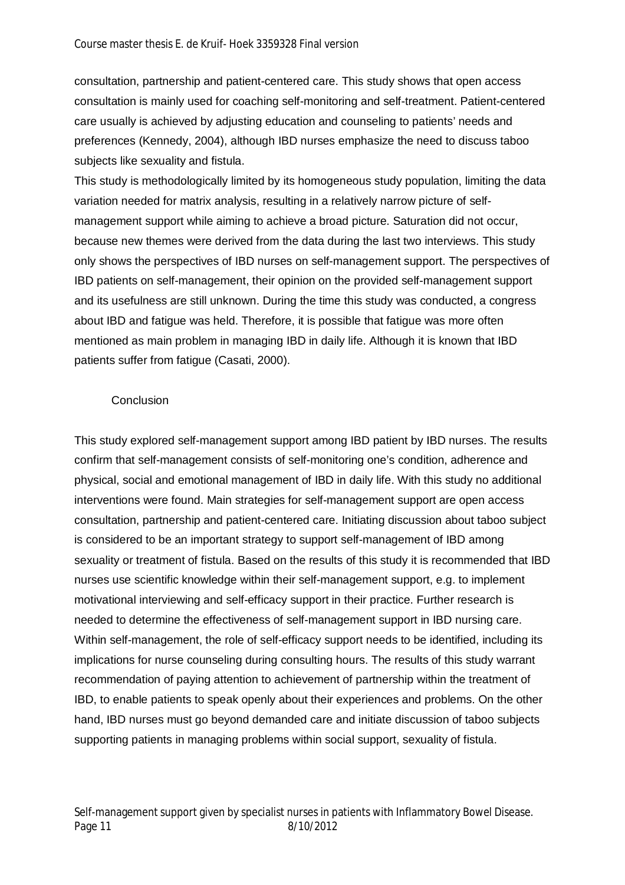consultation, partnership and patient-centered care. This study shows that open access consultation is mainly used for coaching self-monitoring and self-treatment. Patient-centered care usually is achieved by adjusting education and counseling to patients' needs and preferences (Kennedy, 2004), although IBD nurses emphasize the need to discuss taboo subjects like sexuality and fistula.

This study is methodologically limited by its homogeneous study population, limiting the data variation needed for matrix analysis, resulting in a relatively narrow picture of selfmanagement support while aiming to achieve a broad picture. Saturation did not occur, because new themes were derived from the data during the last two interviews. This study only shows the perspectives of IBD nurses on self-management support. The perspectives of IBD patients on self-management, their opinion on the provided self-management support and its usefulness are still unknown. During the time this study was conducted, a congress about IBD and fatigue was held. Therefore, it is possible that fatigue was more often mentioned as main problem in managing IBD in daily life. Although it is known that IBD patients suffer from fatigue (Casati, 2000).

### **Conclusion**

This study explored self-management support among IBD patient by IBD nurses. The results confirm that self-management consists of self-monitoring one's condition, adherence and physical, social and emotional management of IBD in daily life. With this study no additional interventions were found. Main strategies for self-management support are open access consultation, partnership and patient-centered care. Initiating discussion about taboo subject is considered to be an important strategy to support self-management of IBD among sexuality or treatment of fistula. Based on the results of this study it is recommended that IBD nurses use scientific knowledge within their self-management support, e.g. to implement motivational interviewing and self-efficacy support in their practice. Further research is needed to determine the effectiveness of self-management support in IBD nursing care. Within self-management, the role of self-efficacy support needs to be identified, including its implications for nurse counseling during consulting hours. The results of this study warrant recommendation of paying attention to achievement of partnership within the treatment of IBD, to enable patients to speak openly about their experiences and problems. On the other hand, IBD nurses must go beyond demanded care and initiate discussion of taboo subjects supporting patients in managing problems within social support, sexuality of fistula.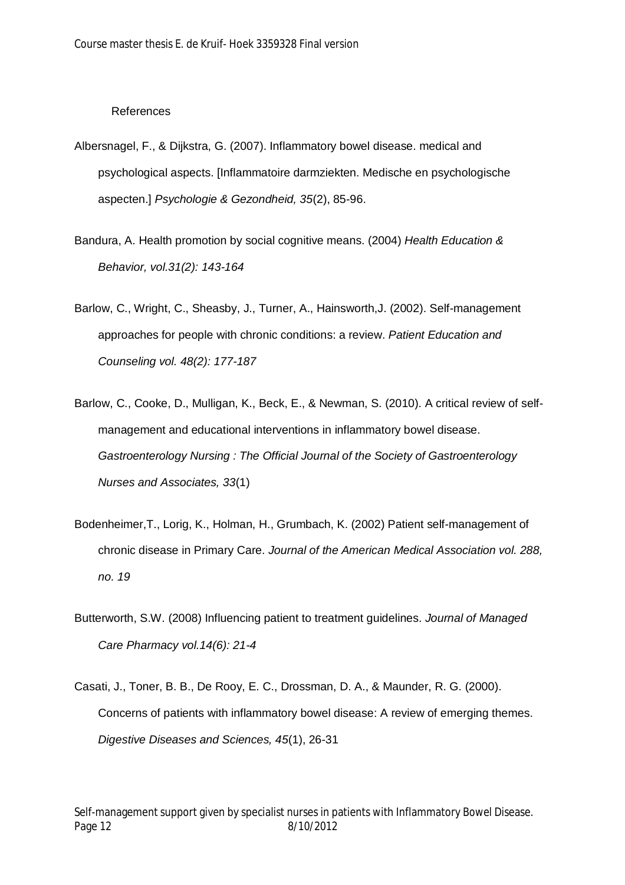#### References

- Albersnagel, F., & Dijkstra, G. (2007). Inflammatory bowel disease. medical and psychological aspects. [Inflammatoire darmziekten. Medische en psychologische aspecten.] *Psychologie & Gezondheid, 35*(2), 85-96.
- Bandura, A. Health promotion by social cognitive means. (2004) *Health Education & Behavior, vol.31(2): 143-164*
- Barlow, C., Wright, C., Sheasby, J., Turner, A., Hainsworth,J. (2002). Self-management approaches for people with chronic conditions: a review. *Patient Education and Counseling vol. 48(2): 177-187*
- Barlow, C., Cooke, D., Mulligan, K., Beck, E., & Newman, S. (2010). A critical review of selfmanagement and educational interventions in inflammatory bowel disease. *Gastroenterology Nursing : The Official Journal of the Society of Gastroenterology Nurses and Associates, 33*(1)
- Bodenheimer,T., Lorig, K., Holman, H., Grumbach, K. (2002) Patient self-management of chronic disease in Primary Care. *Journal of the American Medical Association vol. 288, no. 19*
- Butterworth, S.W. (2008) Influencing patient to treatment guidelines. *Journal of Managed Care Pharmacy vol.14(6): 21-4*
- Casati, J., Toner, B. B., De Rooy, E. C., Drossman, D. A., & Maunder, R. G. (2000). Concerns of patients with inflammatory bowel disease: A review of emerging themes. *Digestive Diseases and Sciences, 45*(1), 26-31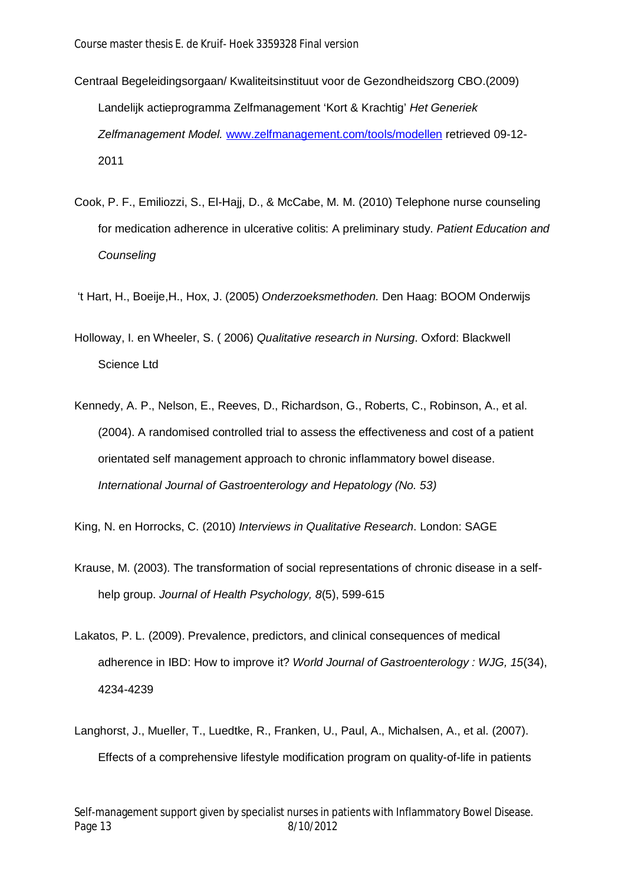- Centraal Begeleidingsorgaan/ Kwaliteitsinstituut voor de Gezondheidszorg CBO.(2009) Landelijk actieprogramma Zelfmanagement 'Kort & Krachtig' *Het Generiek Zelfmanagement Model.* [www.zelfmanagement.com/tools/modellen](http://www.zelfmanagement.com/tools/modellen) retrieved 09-12- 2011
- Cook, P. F., Emiliozzi, S., El-Hajj, D., & McCabe, M. M. (2010) Telephone nurse counseling for medication adherence in ulcerative colitis: A preliminary study. *Patient Education and Counseling*

't Hart, H., Boeije,H., Hox, J. (2005) *Onderzoeksmethoden.* Den Haag: BOOM Onderwijs

- Holloway, I. en Wheeler, S. ( 2006) *Qualitative research in Nursing*. Oxford: Blackwell Science Ltd
- Kennedy, A. P., Nelson, E., Reeves, D., Richardson, G., Roberts, C., Robinson, A., et al. (2004). A randomised controlled trial to assess the effectiveness and cost of a patient orientated self management approach to chronic inflammatory bowel disease. *International Journal of Gastroenterology and Hepatology (No. 53)*

King, N. en Horrocks, C. (2010) *Interviews in Qualitative Research*. London: SAGE

- Krause, M. (2003). The transformation of social representations of chronic disease in a selfhelp group. *Journal of Health Psychology, 8*(5), 599-615
- Lakatos, P. L. (2009). Prevalence, predictors, and clinical consequences of medical adherence in IBD: How to improve it? *World Journal of Gastroenterology : WJG, 15*(34), 4234-4239
- Langhorst, J., Mueller, T., Luedtke, R., Franken, U., Paul, A., Michalsen, A., et al. (2007). Effects of a comprehensive lifestyle modification program on quality-of-life in patients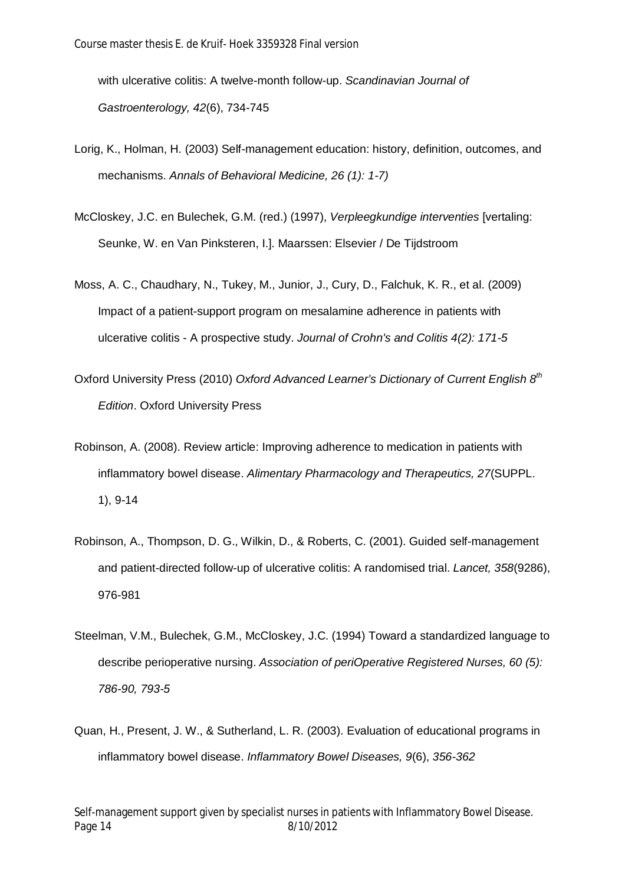with ulcerative colitis: A twelve-month follow-up. *Scandinavian Journal of Gastroenterology, 42*(6), 734-745

- Lorig, K., Holman, H. (2003) Self-management education: history, definition, outcomes, and mechanisms. *Annals of Behavioral Medicine, 26 (1): 1-7)*
- McCloskey, J.C. en Bulechek, G.M. (red.) (1997), *Verpleegkundige interventies* [vertaling: Seunke, W. en Van Pinksteren, I.]. Maarssen: Elsevier / De Tijdstroom
- Moss, A. C., Chaudhary, N., Tukey, M., Junior, J., Cury, D., Falchuk, K. R., et al. (2009) Impact of a patient-support program on mesalamine adherence in patients with ulcerative colitis - A prospective study. *Journal of Crohn's and Colitis 4(2): 171-5*
- Oxford University Press (2010) *Oxford Advanced Learner's Dictionary of Current English 8th Edition*. Oxford University Press
- Robinson, A. (2008). Review article: Improving adherence to medication in patients with inflammatory bowel disease. *Alimentary Pharmacology and Therapeutics, 27*(SUPPL. 1), 9-14
- Robinson, A., Thompson, D. G., Wilkin, D., & Roberts, C. (2001). Guided self-management and patient-directed follow-up of ulcerative colitis: A randomised trial. *Lancet, 358*(9286), 976-981
- Steelman, V.M., Bulechek, G.M., McCloskey, J.C. (1994) Toward a standardized language to describe perioperative nursing. *Association of periOperative Registered Nurses, 60 (5): 786-90, 793-5*
- Quan, H., Present, J. W., & Sutherland, L. R. (2003). Evaluation of educational programs in inflammatory bowel disease. *Inflammatory Bowel Diseases, 9*(6), *356-362*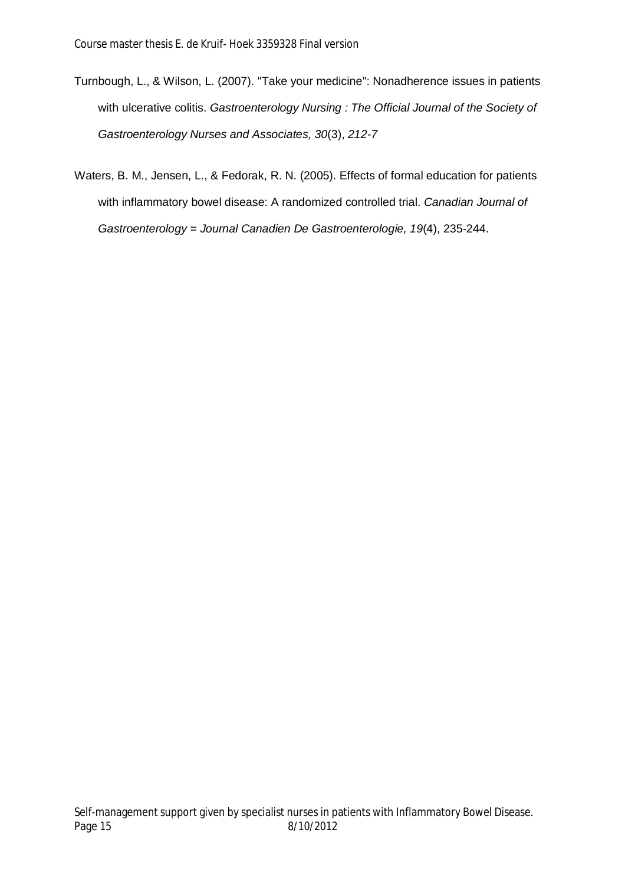- Turnbough, L., & Wilson, L. (2007). "Take your medicine": Nonadherence issues in patients with ulcerative colitis. *Gastroenterology Nursing : The Official Journal of the Society of Gastroenterology Nurses and Associates, 30*(3), *212-7*
- Waters, B. M., Jensen, L., & Fedorak, R. N. (2005). Effects of formal education for patients with inflammatory bowel disease: A randomized controlled trial. *Canadian Journal of Gastroenterology = Journal Canadien De Gastroenterologie, 19*(4), 235-244.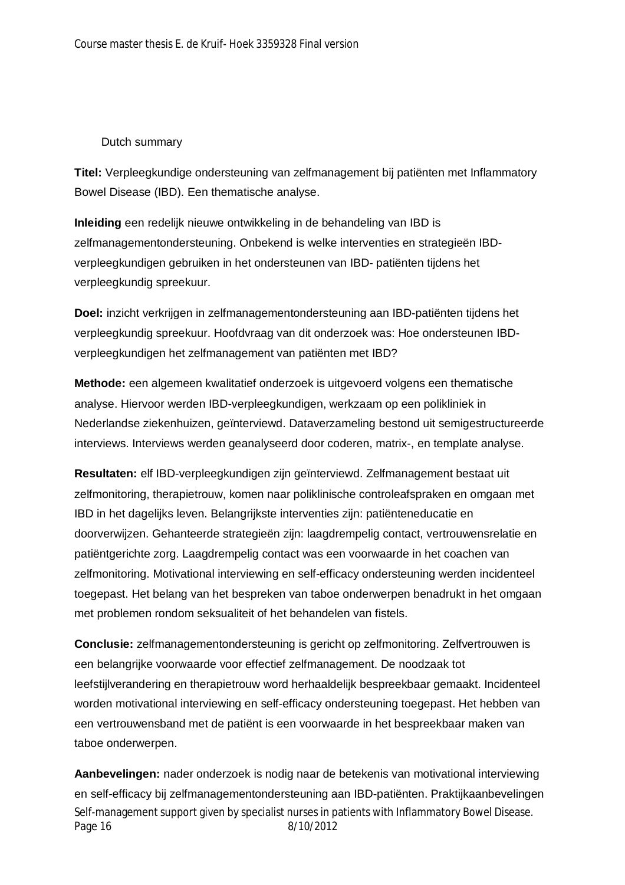## Dutch summary

**Titel:** Verpleegkundige ondersteuning van zelfmanagement bij patiënten met Inflammatory Bowel Disease (IBD). Een thematische analyse.

**Inleiding** een redelijk nieuwe ontwikkeling in de behandeling van IBD is zelfmanagementondersteuning. Onbekend is welke interventies en strategieën IBDverpleegkundigen gebruiken in het ondersteunen van IBD- patiënten tijdens het verpleegkundig spreekuur.

**Doel:** inzicht verkrijgen in zelfmanagementondersteuning aan IBD-patiënten tijdens het verpleegkundig spreekuur. Hoofdvraag van dit onderzoek was: Hoe ondersteunen IBDverpleegkundigen het zelfmanagement van patiënten met IBD?

**Methode:** een algemeen kwalitatief onderzoek is uitgevoerd volgens een thematische analyse. Hiervoor werden IBD-verpleegkundigen, werkzaam op een polikliniek in Nederlandse ziekenhuizen, geïnterviewd. Dataverzameling bestond uit semigestructureerde interviews. Interviews werden geanalyseerd door coderen, matrix-, en template analyse.

**Resultaten:** elf IBD-verpleegkundigen zijn geïnterviewd. Zelfmanagement bestaat uit zelfmonitoring, therapietrouw, komen naar poliklinische controleafspraken en omgaan met IBD in het dagelijks leven. Belangrijkste interventies zijn: patiënteneducatie en doorverwijzen. Gehanteerde strategieën zijn: laagdrempelig contact, vertrouwensrelatie en patiëntgerichte zorg. Laagdrempelig contact was een voorwaarde in het coachen van zelfmonitoring. Motivational interviewing en self-efficacy ondersteuning werden incidenteel toegepast. Het belang van het bespreken van taboe onderwerpen benadrukt in het omgaan met problemen rondom seksualiteit of het behandelen van fistels.

**Conclusie:** zelfmanagementondersteuning is gericht op zelfmonitoring. Zelfvertrouwen is een belangrijke voorwaarde voor effectief zelfmanagement. De noodzaak tot leefstijlverandering en therapietrouw word herhaaldelijk bespreekbaar gemaakt. Incidenteel worden motivational interviewing en self-efficacy ondersteuning toegepast. Het hebben van een vertrouwensband met de patiënt is een voorwaarde in het bespreekbaar maken van taboe onderwerpen.

Self-management support given by specialist nurses in patients with Inflammatory Bowel Disease. Page 16 8/10/2012 **Aanbevelingen:** nader onderzoek is nodig naar de betekenis van motivational interviewing en self-efficacy bij zelfmanagementondersteuning aan IBD-patiënten. Praktijkaanbevelingen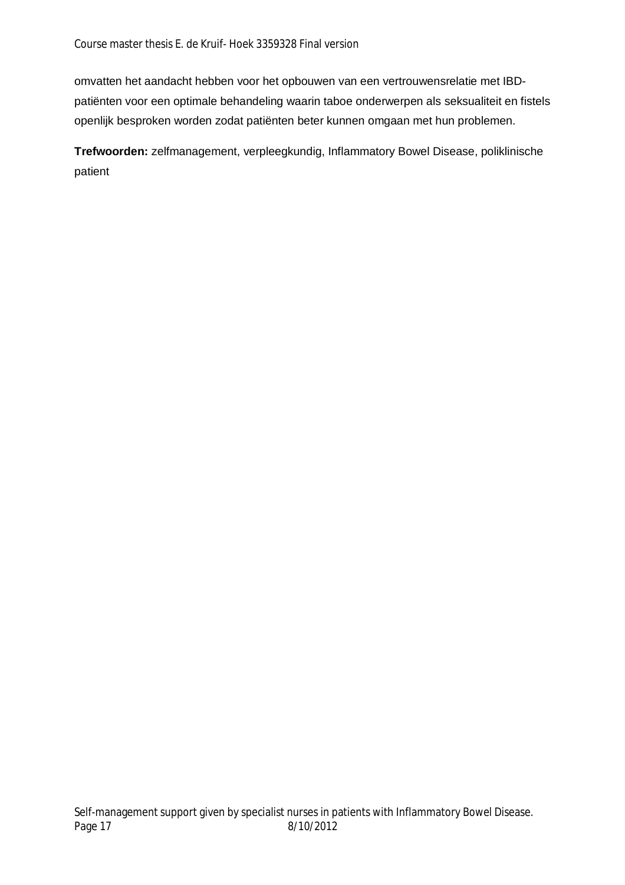omvatten het aandacht hebben voor het opbouwen van een vertrouwensrelatie met IBDpatiënten voor een optimale behandeling waarin taboe onderwerpen als seksualiteit en fistels openlijk besproken worden zodat patiënten beter kunnen omgaan met hun problemen.

**Trefwoorden:** zelfmanagement, verpleegkundig, Inflammatory Bowel Disease, poliklinische patient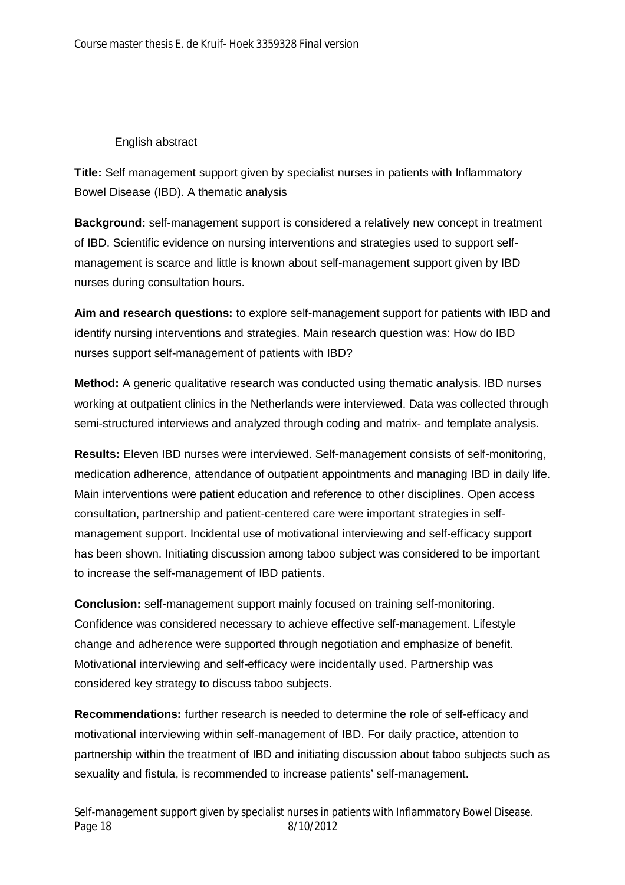## English abstract

**Title:** Self management support given by specialist nurses in patients with Inflammatory Bowel Disease (IBD). A thematic analysis

**Background:** self-management support is considered a relatively new concept in treatment of IBD. Scientific evidence on nursing interventions and strategies used to support selfmanagement is scarce and little is known about self-management support given by IBD nurses during consultation hours.

**Aim and research questions:** to explore self-management support for patients with IBD and identify nursing interventions and strategies. Main research question was: How do IBD nurses support self-management of patients with IBD?

**Method:** A generic qualitative research was conducted using thematic analysis. IBD nurses working at outpatient clinics in the Netherlands were interviewed. Data was collected through semi-structured interviews and analyzed through coding and matrix- and template analysis.

**Results:** Eleven IBD nurses were interviewed. Self-management consists of self-monitoring, medication adherence, attendance of outpatient appointments and managing IBD in daily life. Main interventions were patient education and reference to other disciplines. Open access consultation, partnership and patient-centered care were important strategies in selfmanagement support. Incidental use of motivational interviewing and self-efficacy support has been shown. Initiating discussion among taboo subject was considered to be important to increase the self-management of IBD patients.

**Conclusion:** self-management support mainly focused on training self-monitoring. Confidence was considered necessary to achieve effective self-management. Lifestyle change and adherence were supported through negotiation and emphasize of benefit. Motivational interviewing and self-efficacy were incidentally used. Partnership was considered key strategy to discuss taboo subjects.

**Recommendations:** further research is needed to determine the role of self-efficacy and motivational interviewing within self-management of IBD. For daily practice, attention to partnership within the treatment of IBD and initiating discussion about taboo subjects such as sexuality and fistula, is recommended to increase patients' self-management.

Self-management support given by specialist nurses in patients with Inflammatory Bowel Disease. Page 18 8/10/2012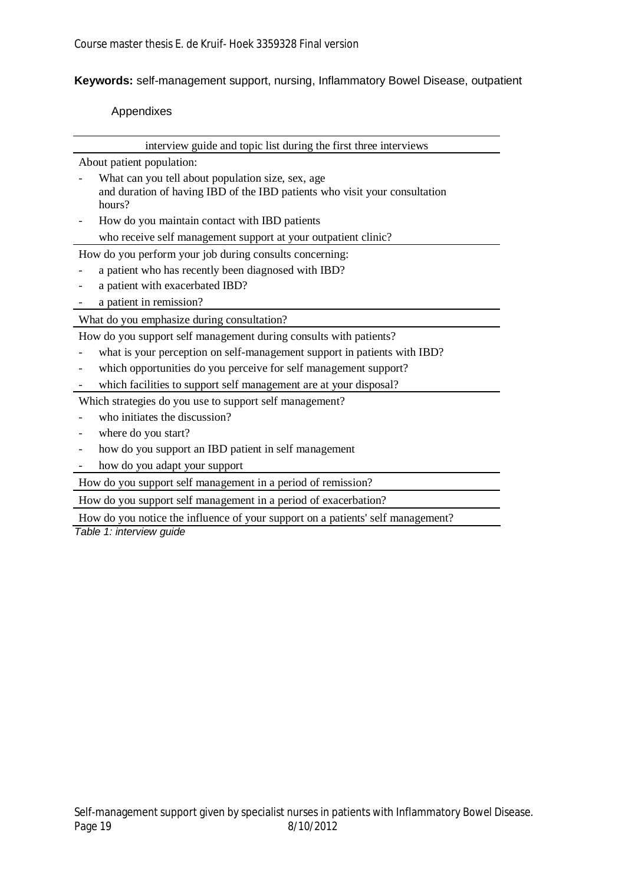**Keywords:** self-management support, nursing, Inflammatory Bowel Disease, outpatient

## Appendixes

| interview guide and topic list during the first three interviews                                                                          |
|-------------------------------------------------------------------------------------------------------------------------------------------|
| About patient population:                                                                                                                 |
| What can you tell about population size, sex, age<br>and duration of having IBD of the IBD patients who visit your consultation<br>hours? |
| How do you maintain contact with IBD patients                                                                                             |
| who receive self management support at your outpatient clinic?                                                                            |
| How do you perform your job during consults concerning:                                                                                   |
| a patient who has recently been diagnosed with IBD?                                                                                       |
| a patient with exacerbated IBD?                                                                                                           |
| a patient in remission?                                                                                                                   |
| What do you emphasize during consultation?                                                                                                |
| How do you support self management during consults with patients?                                                                         |
| what is your perception on self-management support in patients with IBD?                                                                  |
| which opportunities do you perceive for self management support?                                                                          |
| which facilities to support self management are at your disposal?                                                                         |
| Which strategies do you use to support self management?                                                                                   |
| who initiates the discussion?                                                                                                             |
| where do you start?                                                                                                                       |
| how do you support an IBD patient in self management                                                                                      |
| how do you adapt your support                                                                                                             |
| How do you support self management in a period of remission?                                                                              |
| How do you support self management in a period of exacerbation?                                                                           |

How do you notice the influence of your support on a patients' self management?

*Table 1: interview guide*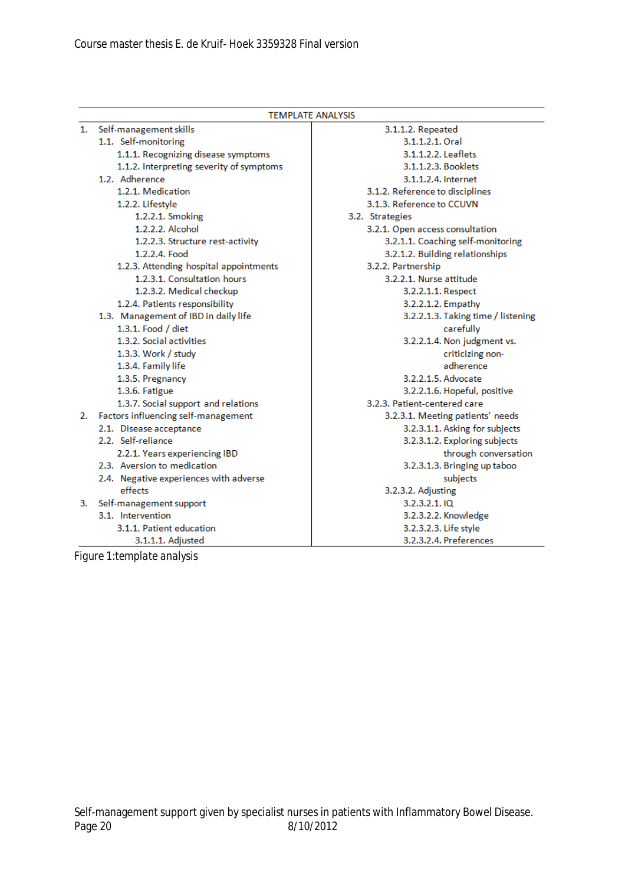| 1. Self-management skills<br>3.1.1.2. Repeated                      |                                    |  |  |
|---------------------------------------------------------------------|------------------------------------|--|--|
| 3.1.1.2.1. Oral<br>1.1. Self-monitoring                             |                                    |  |  |
| 1.1.1. Recognizing disease symptoms                                 | 3.1.1.2.2. Leaflets                |  |  |
| 1.1.2. Interpreting severity of symptoms                            | 3.1.1.2.3. Booklets                |  |  |
| 1.2. Adherence                                                      | 3.1.1.2.4. Internet                |  |  |
| 1.2.1. Medication<br>3.1.2. Reference to disciplines                |                                    |  |  |
| 3.1.3. Reference to CCUVN<br>1.2.2. Lifestyle                       |                                    |  |  |
| 1.2.2.1. Smoking<br>3.2. Strategies                                 |                                    |  |  |
| 1.2.2.2. Alcohol<br>3.2.1. Open access consultation                 |                                    |  |  |
| 1.2.2.3. Structure rest-activity                                    | 3.2.1.1. Coaching self-monitoring  |  |  |
| 1.2.2.4. Food                                                       | 3.2.1.2. Building relationships    |  |  |
| 1.2.3. Attending hospital appointments<br>3.2.2. Partnership        |                                    |  |  |
| 1.2.3.1. Consultation hours<br>3.2.2.1. Nurse attitude              |                                    |  |  |
| 1.2.3.2. Medical checkup                                            | 3.2.2.1.1. Respect                 |  |  |
| 1.2.4. Patients responsibility                                      | 3.2.2.1.2. Empathy                 |  |  |
| 1.3. Management of IBD in daily life                                | 3.2.2.1.3. Taking time / listening |  |  |
| 1.3.1. Food / diet                                                  | carefully                          |  |  |
| 1.3.2. Social activities                                            | 3.2.2.1.4. Non judgment vs.        |  |  |
| 1.3.3. Work $/$ study                                               | criticizing non-                   |  |  |
| 1.3.4. Family life                                                  | adherence                          |  |  |
| 1.3.5. Pregnancy                                                    | 3.2.2.1.5. Advocate                |  |  |
| 1.3.6. Fatigue                                                      | 3.2.2.1.6. Hopeful, positive       |  |  |
| 1.3.7. Social support and relations<br>3.2.3. Patient-centered care |                                    |  |  |
| Factors influencing self-management<br>2.                           | 3.2.3.1. Meeting patients' needs   |  |  |
| 2.1. Disease acceptance                                             | 3.2.3.1.1. Asking for subjects     |  |  |
| 2.2. Self-reliance                                                  | 3.2.3.1.2. Exploring subjects      |  |  |
| 2.2.1. Years experiencing IBD                                       | through conversation               |  |  |
| 2.3. Aversion to medication                                         | 3.2.3.1.3. Bringing up taboo       |  |  |
| 2.4. Negative experiences with adverse                              | subjects                           |  |  |
| effects<br>3.2.3.2. Adjusting                                       |                                    |  |  |
| 3.2.3.2.1.10<br>3. Self-management support                          |                                    |  |  |
| 3.1. Intervention                                                   | 3.2.3.2.2. Knowledge               |  |  |
| 3.1.1. Patient education                                            | 3.2.3.2.3. Life style              |  |  |
| 3.1.1.1. Adjusted                                                   | 3.2.3.2.4. Preferences             |  |  |

*Figure 1:template analysis*